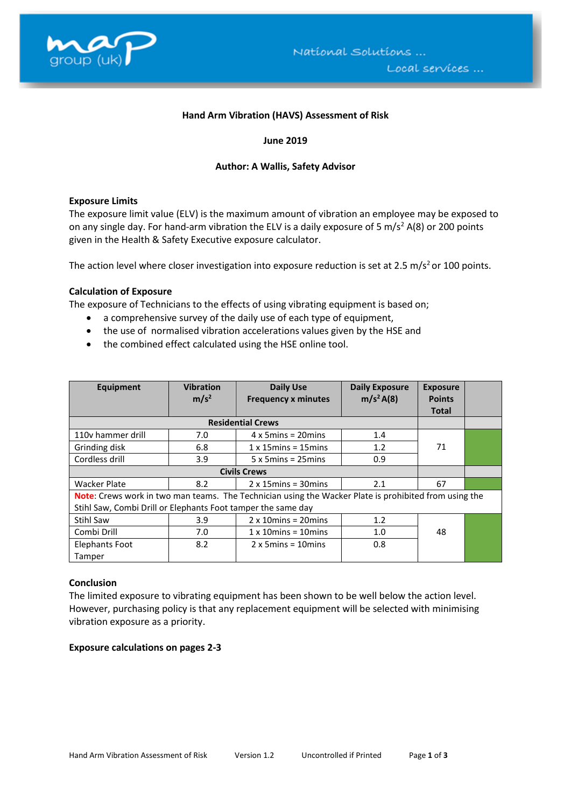

#### **Hand Arm Vibration (HAVS) Assessment of Risk**

## **June 2019**

#### **Author: A Wallis, Safety Advisor**

#### **Exposure Limits**

The exposure limit value (ELV) is the maximum amount of vibration an employee may be exposed to on any single day. For hand-arm vibration the ELV is a daily exposure of 5 m/s<sup>2</sup> A(8) or 200 points given in the Health & Safety Executive exposure calculator.

The action level where closer investigation into exposure reduction is set at 2.5 m/s<sup>2</sup> or 100 points.

## **Calculation of Exposure**

The exposure of Technicians to the effects of using vibrating equipment is based on;

- a comprehensive survey of the daily use of each type of equipment,
- the use of normalised vibration accelerations values given by the HSE and
- the combined effect calculated using the HSE online tool.

| Equipment                                                                                             | <b>Vibration</b><br>m/s <sup>2</sup> | <b>Daily Use</b><br><b>Frequency x minutes</b> | <b>Daily Exposure</b><br>m/s <sup>2</sup> A(8) | <b>Exposure</b><br><b>Points</b> |  |  |
|-------------------------------------------------------------------------------------------------------|--------------------------------------|------------------------------------------------|------------------------------------------------|----------------------------------|--|--|
|                                                                                                       |                                      |                                                |                                                | <b>Total</b>                     |  |  |
|                                                                                                       |                                      |                                                |                                                |                                  |  |  |
| 110y hammer drill                                                                                     | 7.0                                  | $4 \times 5$ mins = 20 mins                    | 1.4                                            |                                  |  |  |
| Grinding disk                                                                                         | 6.8                                  | $1 \times 15$ mins = $15$ mins                 | 1.2                                            | 71                               |  |  |
| Cordless drill                                                                                        | 3.9                                  | $5 \times 5$ mins = 25 mins                    | 0.9                                            |                                  |  |  |
|                                                                                                       |                                      |                                                |                                                |                                  |  |  |
| <b>Wacker Plate</b>                                                                                   | 8.2                                  | $2 \times 15$ mins = 30 mins                   | 2.1                                            | 67                               |  |  |
| Note: Crews work in two man teams. The Technician using the Wacker Plate is prohibited from using the |                                      |                                                |                                                |                                  |  |  |
| Stihl Saw, Combi Drill or Elephants Foot tamper the same day                                          |                                      |                                                |                                                |                                  |  |  |
| <b>Stihl Saw</b>                                                                                      | 3.9                                  | $2 \times 10$ mins = 20 mins                   | 1.2                                            |                                  |  |  |
| Combi Drill                                                                                           | 7.0                                  | $1 \times 10$ mins = $10$ mins                 | 1.0                                            | 48                               |  |  |
| Elephants Foot                                                                                        | 8.2                                  | $2 \times 5$ mins = 10 mins                    | 0.8                                            |                                  |  |  |
| Tamper                                                                                                |                                      |                                                |                                                |                                  |  |  |

#### **Conclusion**

The limited exposure to vibrating equipment has been shown to be well below the action level. However, purchasing policy is that any replacement equipment will be selected with minimising vibration exposure as a priority.

#### **Exposure calculations on pages 2-3**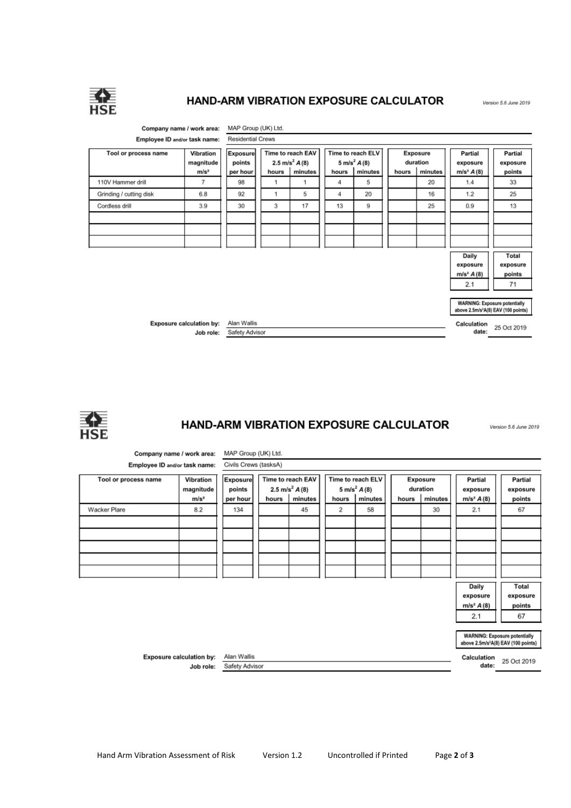

## HAND-ARM VIBRATION EXPOSURE CALCULATOR

Version 5.6 June 2019

Version 5.6 June 2019





# HAND-ARM VIBRATION EXPOSURE CALCULATOR

MAP Group (UK) Ltd. Company name / work area: Civils Crews (tasksA) Employee ID and/or task name: Tool or process name Vibration Exposure Time to reach EAV Time to reach ELV Exposure Partial Partial  $5 \text{ m/s}^2$   $A(8)$ magnitude 2.5 m/s<sup>2</sup>  $A(8)$ duration points exposure exposure  $m/s<sup>2</sup>$ hours  $\mid$  minutes hours | minutes hours | minutes  $m/s^2 A(8)$ points per hour Wacker Plare  $8.2$ 134 67 45  $\overline{2}$ 58 30  $2.1$ Daily Total exposure exposure  $m/s<sup>2</sup> A(8)$ points  $2.1$ 67 **WARNING:** Exposure potentially above 2.5m/s<sup>2</sup>A(8) EAV (100 points) Calculation 25 Oct 2019 Exposure calculation by: Alan Wallis Safety Advisor date: Job role: